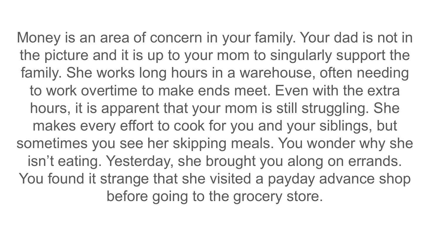Money is an area of concern in your family. Your dad is not in the picture and it is up to your mom to singularly support the family. She works long hours in a warehouse, often needing to work overtime to make ends meet. Even with the extra hours, it is apparent that your mom is still struggling. She makes every effort to cook for you and your siblings, but sometimes you see her skipping meals. You wonder why she isn't eating. Yesterday, she brought you along on errands. You found it strange that she visited a payday advance shop before going to the grocery store.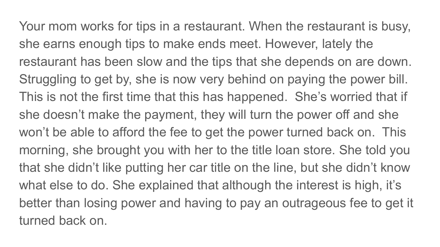Your mom works for tips in a restaurant. When the restaurant is busy, she earns enough tips to make ends meet. However, lately the restaurant has been slow and the tips that she depends on are down. Struggling to get by, she is now very behind on paying the power bill. This is not the first time that this has happened. She's worried that if she doesn't make the payment, they will turn the power off and she won't be able to afford the fee to get the power turned back on. This morning, she brought you with her to the title loan store. She told you that she didn't like putting her car title on the line, but she didn't know what else to do. She explained that although the interest is high, it's better than losing power and having to pay an outrageous fee to get it turned back on.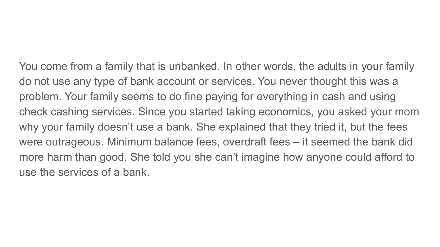You come from a family that is unbanked. In other words, the adults in your family do not use any type of bank account or services. You never thought this was a problem. Your family seems to do fine paying for everything in cash and using check cashing services. Since you started taking economics, you asked your mom why your family doesn't use a bank. She explained that they tried it, but the fees were outrageous. Minimum balance fees, overdraft fees – it seemed the bank did more harm than good. She told you she can't imagine how anyone could afford to use the services of a bank.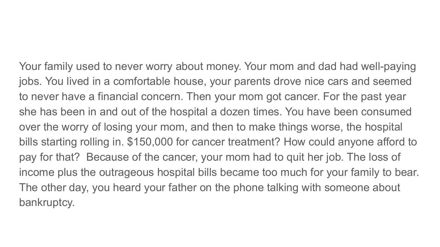Your family used to never worry about money. Your mom and dad had well-paying jobs. You lived in a comfortable house, your parents drove nice cars and seemed to never have a financial concern. Then your mom got cancer. For the past year she has been in and out of the hospital a dozen times. You have been consumed over the worry of losing your mom, and then to make things worse, the hospital bills starting rolling in. \$150,000 for cancer treatment? How could anyone afford to pay for that? Because of the cancer, your mom had to quit her job. The loss of income plus the outrageous hospital bills became too much for your family to bear. The other day, you heard your father on the phone talking with someone about bankruptcy.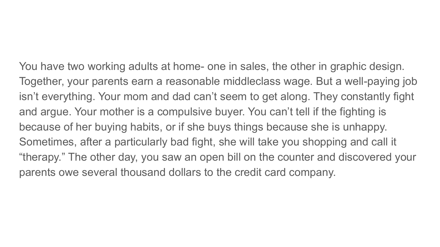You have two working adults at home- one in sales, the other in graphic design. Together, your parents earn a reasonable middleclass wage. But a well-paying job isn't everything. Your mom and dad can't seem to get along. They constantly fight and argue. Your mother is a compulsive buyer. You can't tell if the fighting is because of her buying habits, or if she buys things because she is unhappy. Sometimes, after a particularly bad fight, she will take you shopping and call it "therapy." The other day, you saw an open bill on the counter and discovered your parents owe several thousand dollars to the credit card company.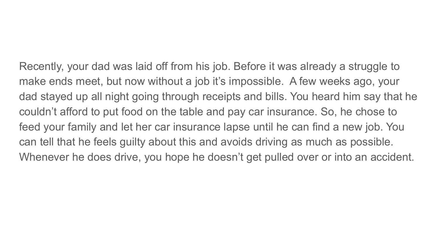Recently, your dad was laid off from his job. Before it was already a struggle to make ends meet, but now without a job it's impossible. A few weeks ago, your dad stayed up all night going through receipts and bills. You heard him say that he couldn't afford to put food on the table and pay car insurance. So, he chose to feed your family and let her car insurance lapse until he can find a new job. You can tell that he feels guilty about this and avoids driving as much as possible. Whenever he does drive, you hope he doesn't get pulled over or into an accident.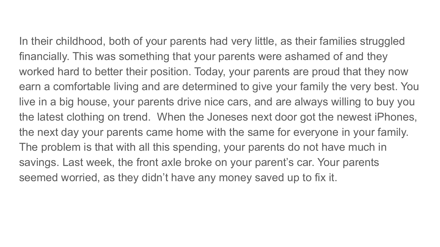In their childhood, both of your parents had very little, as their families struggled financially. This was something that your parents were ashamed of and they worked hard to better their position. Today, your parents are proud that they now earn a comfortable living and are determined to give your family the very best. You live in a big house, your parents drive nice cars, and are always willing to buy you the latest clothing on trend. When the Joneses next door got the newest iPhones, the next day your parents came home with the same for everyone in your family. The problem is that with all this spending, your parents do not have much in savings. Last week, the front axle broke on your parent's car. Your parents seemed worried, as they didn't have any money saved up to fix it.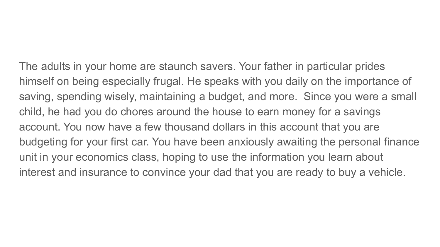The adults in your home are staunch savers. Your father in particular prides himself on being especially frugal. He speaks with you daily on the importance of saving, spending wisely, maintaining a budget, and more. Since you were a small child, he had you do chores around the house to earn money for a savings account. You now have a few thousand dollars in this account that you are budgeting for your first car. You have been anxiously awaiting the personal finance unit in your economics class, hoping to use the information you learn about interest and insurance to convince your dad that you are ready to buy a vehicle.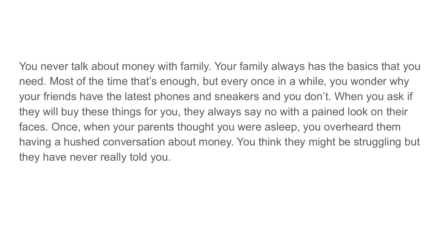You never talk about money with family. Your family always has the basics that you need. Most of the time that's enough, but every once in a while, you wonder why your friends have the latest phones and sneakers and you don't. When you ask if they will buy these things for you, they always say no with a pained look on their faces. Once, when your parents thought you were asleep, you overheard them having a hushed conversation about money. You think they might be struggling but they have never really told you.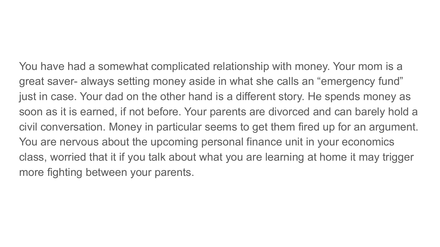You have had a somewhat complicated relationship with money. Your mom is a great saver- always setting money aside in what she calls an "emergency fund" just in case. Your dad on the other hand is a different story. He spends money as soon as it is earned, if not before. Your parents are divorced and can barely hold a civil conversation. Money in particular seems to get them fired up for an argument. You are nervous about the upcoming personal finance unit in your economics class, worried that it if you talk about what you are learning at home it may trigger more fighting between your parents.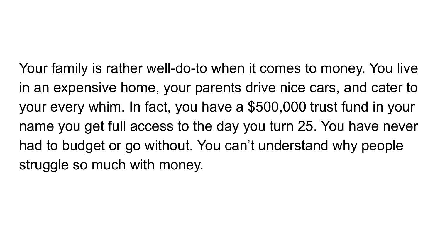Your family is rather well-do-to when it comes to money. You live in an expensive home, your parents drive nice cars, and cater to your every whim. In fact, you have a \$500,000 trust fund in your name you get full access to the day you turn 25. You have never had to budget or go without. You can't understand why people struggle so much with money.